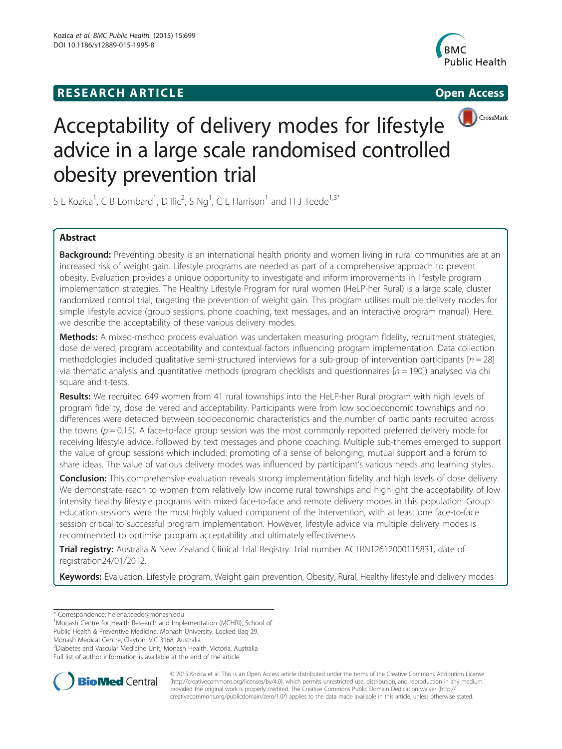# **RESEARCH ARTICLE Example 2014 12:30 The SEAR CHIPS 2014 12:30 The Open Access**





# Acceptability of delivery modes for lifestyle advice in a large scale randomised controlled obesity prevention trial

S L Kozica<sup>1</sup>, C B Lombard<sup>1</sup>, D Ilic<sup>2</sup>, S Ng<sup>1</sup>, C L Harrison<sup>1</sup> and H J Teede<sup>1,3\*</sup>

# Abstract

Background: Preventing obesity is an international health priority and women living in rural communities are at an increased risk of weight gain. Lifestyle programs are needed as part of a comprehensive approach to prevent obesity. Evaluation provides a unique opportunity to investigate and inform improvements in lifestyle program implementation strategies. The Healthy Lifestyle Program for rural women (HeLP-her Rural) is a large scale, cluster randomized control trial, targeting the prevention of weight gain. This program utilises multiple delivery modes for simple lifestyle advice (group sessions, phone coaching, text messages, and an interactive program manual). Here, we describe the acceptability of these various delivery modes.

Methods: A mixed-method process evaluation was undertaken measuring program fidelity, recruitment strategies, dose delivered, program acceptability and contextual factors influencing program implementation. Data collection methodologies included qualitative semi-structured interviews for a sub-group of intervention participants  $[n = 28]$ via thematic analysis and quantitative methods (program checklists and questionnaires  $[n = 190]$ ) analysed via chi square and t-tests.

Results: We recruited 649 women from 41 rural townships into the HeLP-her Rural program with high levels of program fidelity, dose delivered and acceptability. Participants were from low socioeconomic townships and no differences were detected between socioeconomic characteristics and the number of participants recruited across the towns ( $p = 0.15$ ). A face-to-face group session was the most commonly reported preferred delivery mode for receiving lifestyle advice, followed by text messages and phone coaching. Multiple sub-themes emerged to support the value of group sessions which included: promoting of a sense of belonging, mutual support and a forum to share ideas. The value of various delivery modes was influenced by participant's various needs and learning styles.

Conclusion: This comprehensive evaluation reveals strong implementation fidelity and high levels of dose delivery. We demonstrate reach to women from relatively low income rural townships and highlight the acceptability of low intensity healthy lifestyle programs with mixed face-to-face and remote delivery modes in this population. Group education sessions were the most highly valued component of the intervention, with at least one face-to-face session critical to successful program implementation. However, lifestyle advice via multiple delivery modes is recommended to optimise program acceptability and ultimately effectiveness.

Trial registry: Australia & New Zealand Clinical Trial Registry. Trial number [ACTRN12612000115831,](http://www.anzctr.org.au) date of registration24/01/2012.

Keywords: Evaluation, Lifestyle program, Weight gain prevention, Obesity, Rural, Healthy lifestyle and delivery modes

\* Correspondence: [helena.teede@monash.edu](mailto:helena.teede@monash.edu) <sup>1</sup>

<sup>1</sup>Monash Centre for Health Research and Implementation (MCHRI), School of

Public Health & Preventive Medicine, Monash University, Locked Bag 29,

Monash Medical Centre, Clayton, VIC 3168, Australia

3 Diabetes and Vascular Medicine Unit, Monash Health, Victoria, Australia

Full list of author information is available at the end of the article



© 2015 Kozica et al. This is an Open Access article distributed under the terms of the Creative Commons Attribution License [\(http://creativecommons.org/licenses/by/4.0\)](http://creativecommons.org/licenses/by/4.0), which permits unrestricted use, distribution, and reproduction in any medium, provided the original work is properly credited. The Creative Commons Public Domain Dedication waiver [\(http://](http://creativecommons.org/publicdomain/zero/1.0/) [creativecommons.org/publicdomain/zero/1.0/\)](http://creativecommons.org/publicdomain/zero/1.0/) applies to the data made available in this article, unless otherwise stated.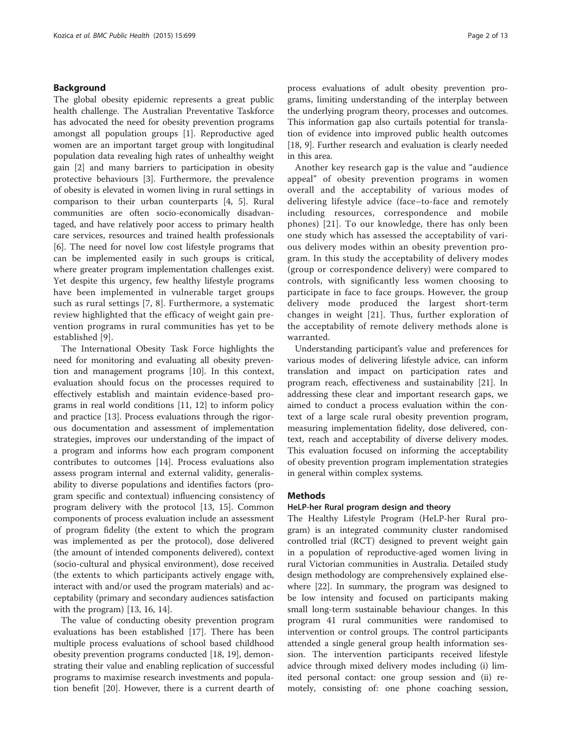# Background

The global obesity epidemic represents a great public health challenge. The Australian Preventative Taskforce has advocated the need for obesity prevention programs amongst all population groups [\[1\]](#page-10-0). Reproductive aged women are an important target group with longitudinal population data revealing high rates of unhealthy weight gain [[2\]](#page-10-0) and many barriers to participation in obesity protective behaviours [[3\]](#page-10-0). Furthermore, the prevalence of obesity is elevated in women living in rural settings in comparison to their urban counterparts [[4, 5](#page-10-0)]. Rural communities are often socio-economically disadvantaged, and have relatively poor access to primary health care services, resources and trained health professionals [[6\]](#page-10-0). The need for novel low cost lifestyle programs that can be implemented easily in such groups is critical, where greater program implementation challenges exist. Yet despite this urgency, few healthy lifestyle programs have been implemented in vulnerable target groups such as rural settings [\[7](#page-10-0), [8](#page-11-0)]. Furthermore, a systematic review highlighted that the efficacy of weight gain prevention programs in rural communities has yet to be established [\[9\]](#page-11-0).

The International Obesity Task Force highlights the need for monitoring and evaluating all obesity prevention and management programs [\[10](#page-11-0)]. In this context, evaluation should focus on the processes required to effectively establish and maintain evidence-based programs in real world conditions [\[11](#page-11-0), [12\]](#page-11-0) to inform policy and practice [[13\]](#page-11-0). Process evaluations through the rigorous documentation and assessment of implementation strategies, improves our understanding of the impact of a program and informs how each program component contributes to outcomes [\[14](#page-11-0)]. Process evaluations also assess program internal and external validity, generalisability to diverse populations and identifies factors (program specific and contextual) influencing consistency of program delivery with the protocol [\[13](#page-11-0), [15\]](#page-11-0). Common components of process evaluation include an assessment of program fidelity (the extent to which the program was implemented as per the protocol), dose delivered (the amount of intended components delivered), context (socio-cultural and physical environment), dose received (the extents to which participants actively engage with, interact with and/or used the program materials) and acceptability (primary and secondary audiences satisfaction with the program) [[13](#page-11-0), [16](#page-11-0), [14](#page-11-0)].

The value of conducting obesity prevention program evaluations has been established [\[17](#page-11-0)]. There has been multiple process evaluations of school based childhood obesity prevention programs conducted [[18](#page-11-0), [19](#page-11-0)], demonstrating their value and enabling replication of successful programs to maximise research investments and population benefit [\[20](#page-11-0)]. However, there is a current dearth of

process evaluations of adult obesity prevention programs, limiting understanding of the interplay between the underlying program theory, processes and outcomes. This information gap also curtails potential for translation of evidence into improved public health outcomes [[18, 9\]](#page-11-0). Further research and evaluation is clearly needed in this area.

Another key research gap is the value and "audience appeal" of obesity prevention programs in women overall and the acceptability of various modes of delivering lifestyle advice (face–to-face and remotely including resources, correspondence and mobile phones) [[21](#page-11-0)]. To our knowledge, there has only been one study which has assessed the acceptability of various delivery modes within an obesity prevention program. In this study the acceptability of delivery modes (group or correspondence delivery) were compared to controls, with significantly less women choosing to participate in face to face groups. However, the group delivery mode produced the largest short-term changes in weight [[21\]](#page-11-0). Thus, further exploration of the acceptability of remote delivery methods alone is warranted.

Understanding participant's value and preferences for various modes of delivering lifestyle advice, can inform translation and impact on participation rates and program reach, effectiveness and sustainability [[21\]](#page-11-0). In addressing these clear and important research gaps, we aimed to conduct a process evaluation within the context of a large scale rural obesity prevention program, measuring implementation fidelity, dose delivered, context, reach and acceptability of diverse delivery modes. This evaluation focused on informing the acceptability of obesity prevention program implementation strategies in general within complex systems.

#### Methods

# HeLP-her Rural program design and theory

The Healthy Lifestyle Program (HeLP-her Rural program) is an integrated community cluster randomised controlled trial (RCT) designed to prevent weight gain in a population of reproductive-aged women living in rural Victorian communities in Australia. Detailed study design methodology are comprehensively explained elsewhere [[22\]](#page-11-0). In summary, the program was designed to be low intensity and focused on participants making small long-term sustainable behaviour changes. In this program 41 rural communities were randomised to intervention or control groups. The control participants attended a single general group health information session. The intervention participants received lifestyle advice through mixed delivery modes including (i) limited personal contact: one group session and (ii) remotely, consisting of: one phone coaching session,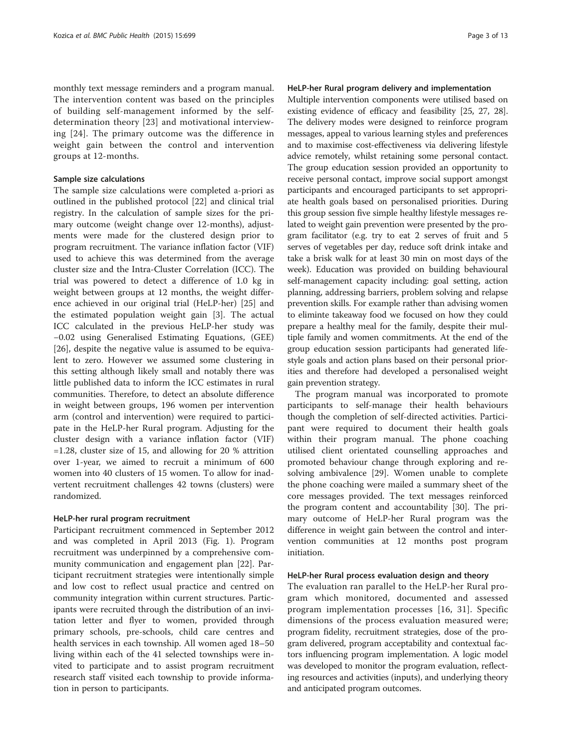monthly text message reminders and a program manual. The intervention content was based on the principles of building self-management informed by the selfdetermination theory [\[23\]](#page-11-0) and motivational interviewing [[24\]](#page-11-0). The primary outcome was the difference in weight gain between the control and intervention groups at 12-months.

#### Sample size calculations

The sample size calculations were completed a-priori as outlined in the published protocol [\[22](#page-11-0)] and clinical trial registry. In the calculation of sample sizes for the primary outcome (weight change over 12-months), adjustments were made for the clustered design prior to program recruitment. The variance inflation factor (VIF) used to achieve this was determined from the average cluster size and the Intra-Cluster Correlation (ICC). The trial was powered to detect a difference of 1.0 kg in weight between groups at 12 months, the weight difference achieved in our original trial (HeLP-her) [\[25](#page-11-0)] and the estimated population weight gain [[3](#page-10-0)]. The actual ICC calculated in the previous HeLP-her study was −0.02 using Generalised Estimating Equations, (GEE) [[26\]](#page-11-0), despite the negative value is assumed to be equivalent to zero. However we assumed some clustering in this setting although likely small and notably there was little published data to inform the ICC estimates in rural communities. Therefore, to detect an absolute difference in weight between groups, 196 women per intervention arm (control and intervention) were required to participate in the HeLP-her Rural program. Adjusting for the cluster design with a variance inflation factor (VIF) =1.28, cluster size of 15, and allowing for 20 % attrition over 1-year, we aimed to recruit a minimum of 600 women into 40 clusters of 15 women. To allow for inadvertent recruitment challenges 42 towns (clusters) were randomized.

#### HeLP-her rural program recruitment

Participant recruitment commenced in September 2012 and was completed in April 2013 (Fig. [1\)](#page-3-0). Program recruitment was underpinned by a comprehensive community communication and engagement plan [\[22](#page-11-0)]. Participant recruitment strategies were intentionally simple and low cost to reflect usual practice and centred on community integration within current structures. Participants were recruited through the distribution of an invitation letter and flyer to women, provided through primary schools, pre-schools, child care centres and health services in each township. All women aged 18–50 living within each of the 41 selected townships were invited to participate and to assist program recruitment research staff visited each township to provide information in person to participants.

### HeLP-her Rural program delivery and implementation

Multiple intervention components were utilised based on existing evidence of efficacy and feasibility [[25, 27, 28](#page-11-0)]. The delivery modes were designed to reinforce program messages, appeal to various learning styles and preferences and to maximise cost-effectiveness via delivering lifestyle advice remotely, whilst retaining some personal contact. The group education session provided an opportunity to receive personal contact, improve social support amongst participants and encouraged participants to set appropriate health goals based on personalised priorities. During this group session five simple healthy lifestyle messages related to weight gain prevention were presented by the program facilitator (e.g. try to eat 2 serves of fruit and 5 serves of vegetables per day, reduce soft drink intake and take a brisk walk for at least 30 min on most days of the week). Education was provided on building behavioural self-management capacity including: goal setting, action planning, addressing barriers, problem solving and relapse prevention skills. For example rather than advising women to eliminte takeaway food we focused on how they could prepare a healthy meal for the family, despite their multiple family and women commitments. At the end of the group education session participants had generated lifestyle goals and action plans based on their personal priorities and therefore had developed a personalised weight gain prevention strategy.

The program manual was incorporated to promote participants to self-manage their health behaviours though the completion of self-directed activities. Participant were required to document their health goals within their program manual. The phone coaching utilised client orientated counselling approaches and promoted behaviour change through exploring and resolving ambivalence [\[29\]](#page-11-0). Women unable to complete the phone coaching were mailed a summary sheet of the core messages provided. The text messages reinforced the program content and accountability [[30](#page-11-0)]. The primary outcome of HeLP-her Rural program was the difference in weight gain between the control and intervention communities at 12 months post program initiation.

#### HeLP-her Rural process evaluation design and theory

The evaluation ran parallel to the HeLP-her Rural program which monitored, documented and assessed program implementation processes [[16](#page-11-0), [31\]](#page-11-0). Specific dimensions of the process evaluation measured were; program fidelity, recruitment strategies, dose of the program delivered, program acceptability and contextual factors influencing program implementation. A logic model was developed to monitor the program evaluation, reflecting resources and activities (inputs), and underlying theory and anticipated program outcomes.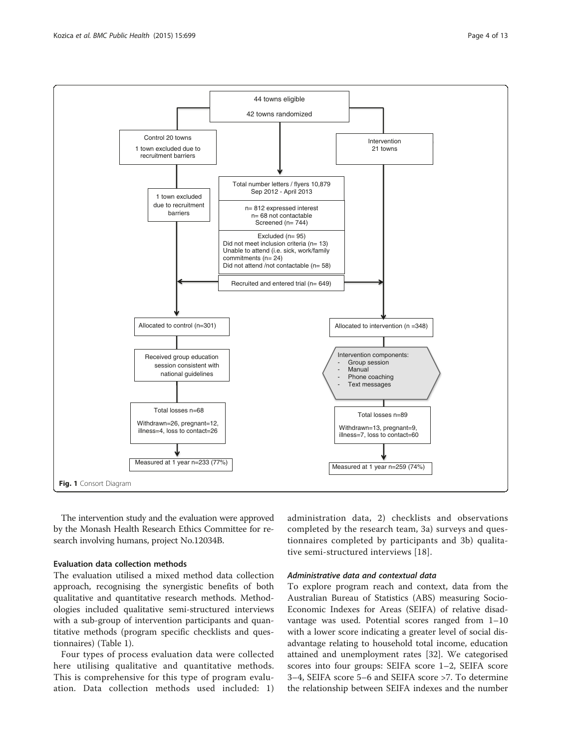<span id="page-3-0"></span>

The intervention study and the evaluation were approved by the Monash Health Research Ethics Committee for research involving humans, project No.12034B.

# Evaluation data collection methods

The evaluation utilised a mixed method data collection approach, recognising the synergistic benefits of both qualitative and quantitative research methods. Methodologies included qualitative semi-structured interviews with a sub-group of intervention participants and quantitative methods (program specific checklists and questionnaires) (Table [1\)](#page-4-0).

Four types of process evaluation data were collected here utilising qualitative and quantitative methods. This is comprehensive for this type of program evaluation. Data collection methods used included: 1) administration data, 2) checklists and observations completed by the research team, 3a) surveys and questionnaires completed by participants and 3b) qualitative semi-structured interviews [\[18\]](#page-11-0).

#### Administrative data and contextual data

To explore program reach and context, data from the Australian Bureau of Statistics (ABS) measuring Socio-Economic Indexes for Areas (SEIFA) of relative disadvantage was used. Potential scores ranged from 1–10 with a lower score indicating a greater level of social disadvantage relating to household total income, education attained and unemployment rates [\[32](#page-11-0)]. We categorised scores into four groups: SEIFA score 1–2, SEIFA score 3–4, SEIFA score 5–6 and SEIFA score >7. To determine the relationship between SEIFA indexes and the number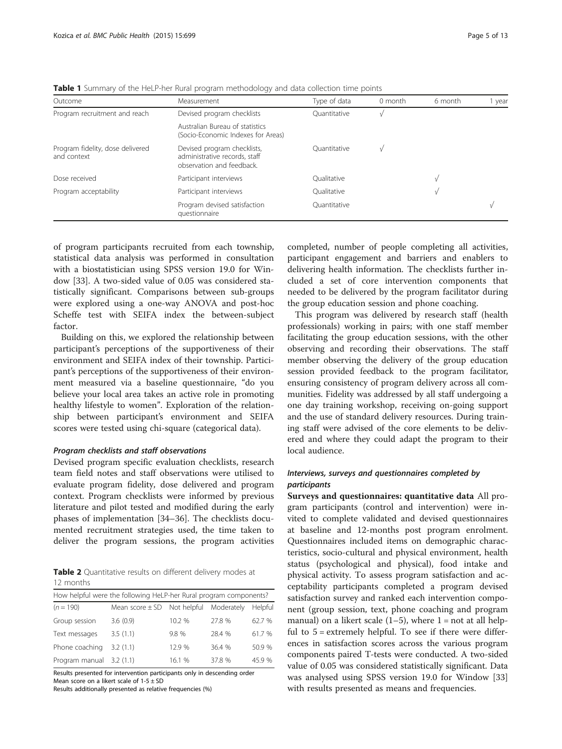| Outcome                                         | Measurement                                                                               | Type of data | 0 month | 6 month | l year |
|-------------------------------------------------|-------------------------------------------------------------------------------------------|--------------|---------|---------|--------|
| Program recruitment and reach                   | Devised program checklists                                                                | Ouantitative |         |         |        |
|                                                 | Australian Bureau of statistics<br>(Socio-Economic Indexes for Areas)                     |              |         |         |        |
| Program fidelity, dose delivered<br>and context | Devised program checklists,<br>administrative records, staff<br>observation and feedback. | Ouantitative |         |         |        |
| Dose received                                   | Participant interviews                                                                    | Oualitative  |         |         |        |
| Program acceptability                           | Participant interviews                                                                    | Oualitative  |         |         |        |
|                                                 | Program devised satisfaction<br>questionnaire                                             | Ouantitative |         |         |        |

<span id="page-4-0"></span>**Table 1** Summary of the HeLP-her Rural program methodology and data collection time points

of program participants recruited from each township, statistical data analysis was performed in consultation with a biostatistician using SPSS version 19.0 for Window [[33](#page-11-0)]. A two-sided value of 0.05 was considered statistically significant. Comparisons between sub-groups were explored using a one-way ANOVA and post-hoc Scheffe test with SEIFA index the between-subject factor.

Building on this, we explored the relationship between participant's perceptions of the supportiveness of their environment and SEIFA index of their township. Participant's perceptions of the supportiveness of their environment measured via a baseline questionnaire, "do you believe your local area takes an active role in promoting healthy lifestyle to women". Exploration of the relationship between participant's environment and SEIFA scores were tested using chi-square (categorical data).

# Program checklists and staff observations

Devised program specific evaluation checklists, research team field notes and staff observations were utilised to evaluate program fidelity, dose delivered and program context. Program checklists were informed by previous literature and pilot tested and modified during the early phases of implementation [[34](#page-11-0)–[36](#page-11-0)]. The checklists documented recruitment strategies used, the time taken to deliver the program sessions, the program activities

Table 2 Quantitative results on different delivery modes at 12 months

| How helpful were the following HeLP-her Rural program components? |                     |             |            |         |  |  |  |
|-------------------------------------------------------------------|---------------------|-------------|------------|---------|--|--|--|
| $(n = 190)$                                                       | Mean score $\pm$ SD | Not helpful | Moderately | Helpful |  |  |  |
| Group session                                                     | 3.6(0.9)            | 10.2 %      | 27.8%      | 62.7 %  |  |  |  |
| Text messages                                                     | 3.5(1.1)            | 9.8 %       | 28.4 %     | 61.7%   |  |  |  |
| Phone coaching                                                    | 3.2(1.1)            | 12.9%       | 36.4 %     | 50.9%   |  |  |  |
| Program manual                                                    | 3.2(1.1)            | 16.1 %      | 37.8 %     | 45.9%   |  |  |  |

Results presented for intervention participants only in descending order Mean score on a likert scale of  $1-5 \pm SD$ 

Results additionally presented as relative frequencies (%)

completed, number of people completing all activities, participant engagement and barriers and enablers to delivering health information. The checklists further included a set of core intervention components that needed to be delivered by the program facilitator during the group education session and phone coaching.

This program was delivered by research staff (health professionals) working in pairs; with one staff member facilitating the group education sessions, with the other observing and recording their observations. The staff member observing the delivery of the group education session provided feedback to the program facilitator, ensuring consistency of program delivery across all communities. Fidelity was addressed by all staff undergoing a one day training workshop, receiving on-going support and the use of standard delivery resources. During training staff were advised of the core elements to be delivered and where they could adapt the program to their local audience.

# Interviews, surveys and questionnaires completed by participants

Surveys and questionnaires: quantitative data All program participants (control and intervention) were invited to complete validated and devised questionnaires at baseline and 12-months post program enrolment. Questionnaires included items on demographic characteristics, socio-cultural and physical environment, health status (psychological and physical), food intake and physical activity. To assess program satisfaction and acceptability participants completed a program devised satisfaction survey and ranked each intervention component (group session, text, phone coaching and program manual) on a likert scale  $(1–5)$ , where  $1 = not$  at all helpful to 5 = extremely helpful. To see if there were differences in satisfaction scores across the various program components paired T-tests were conducted. A two-sided value of 0.05 was considered statistically significant. Data was analysed using SPSS version 19.0 for Window [[33](#page-11-0)] with results presented as means and frequencies.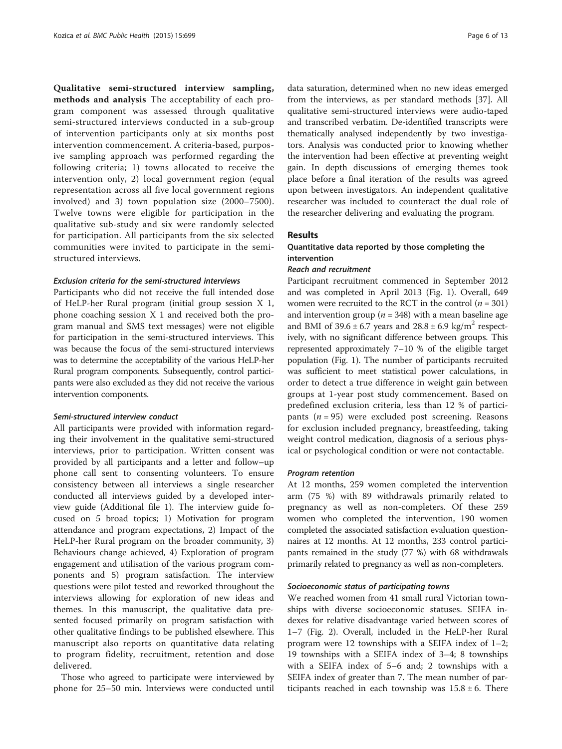Qualitative semi-structured interview sampling, methods and analysis The acceptability of each program component was assessed through qualitative semi-structured interviews conducted in a sub-group of intervention participants only at six months post intervention commencement. A criteria-based, purposive sampling approach was performed regarding the following criteria; 1) towns allocated to receive the intervention only, 2) local government region (equal representation across all five local government regions involved) and 3) town population size (2000–7500). Twelve towns were eligible for participation in the qualitative sub-study and six were randomly selected for participation. All participants from the six selected communities were invited to participate in the semistructured interviews.

# Exclusion criteria for the semi-structured interviews

Participants who did not receive the full intended dose of HeLP-her Rural program (initial group session X 1, phone coaching session X 1 and received both the program manual and SMS text messages) were not eligible for participation in the semi-structured interviews. This was because the focus of the semi-structured interviews was to determine the acceptability of the various HeLP-her Rural program components. Subsequently, control participants were also excluded as they did not receive the various intervention components.

#### Semi-structured interview conduct

All participants were provided with information regarding their involvement in the qualitative semi-structured interviews, prior to participation. Written consent was provided by all participants and a letter and follow–up phone call sent to consenting volunteers. To ensure consistency between all interviews a single researcher conducted all interviews guided by a developed interview guide (Additional file [1](#page-10-0)). The interview guide focused on 5 broad topics; 1) Motivation for program attendance and program expectations, 2) Impact of the HeLP-her Rural program on the broader community, 3) Behaviours change achieved, 4) Exploration of program engagement and utilisation of the various program components and 5) program satisfaction. The interview questions were pilot tested and reworked throughout the interviews allowing for exploration of new ideas and themes. In this manuscript, the qualitative data presented focused primarily on program satisfaction with other qualitative findings to be published elsewhere. This manuscript also reports on quantitative data relating to program fidelity, recruitment, retention and dose delivered.

Those who agreed to participate were interviewed by phone for 25–50 min. Interviews were conducted until

data saturation, determined when no new ideas emerged from the interviews, as per standard methods [\[37\]](#page-11-0). All qualitative semi-structured interviews were audio-taped and transcribed verbatim. De-identified transcripts were thematically analysed independently by two investigators. Analysis was conducted prior to knowing whether the intervention had been effective at preventing weight gain. In depth discussions of emerging themes took place before a final iteration of the results was agreed upon between investigators. An independent qualitative researcher was included to counteract the dual role of the researcher delivering and evaluating the program.

#### Results

# Quantitative data reported by those completing the intervention

# Reach and recruitment

Participant recruitment commenced in September 2012 and was completed in April 2013 (Fig. [1](#page-3-0)). Overall, 649 women were recruited to the RCT in the control  $(n = 301)$ and intervention group ( $n = 348$ ) with a mean baseline age and BMI of  $39.6 \pm 6.7$  years and  $28.8 \pm 6.9$  kg/m<sup>2</sup> respectively, with no significant difference between groups. This represented approximately 7–10 % of the eligible target population (Fig. [1](#page-3-0)). The number of participants recruited was sufficient to meet statistical power calculations, in order to detect a true difference in weight gain between groups at 1-year post study commencement. Based on predefined exclusion criteria, less than 12 % of participants  $(n = 95)$  were excluded post screening. Reasons for exclusion included pregnancy, breastfeeding, taking weight control medication, diagnosis of a serious physical or psychological condition or were not contactable.

#### Program retention

At 12 months, 259 women completed the intervention arm (75 %) with 89 withdrawals primarily related to pregnancy as well as non-completers. Of these 259 women who completed the intervention, 190 women completed the associated satisfaction evaluation questionnaires at 12 months. At 12 months, 233 control participants remained in the study (77 %) with 68 withdrawals primarily related to pregnancy as well as non-completers.

#### Socioeconomic status of participating towns

We reached women from 41 small rural Victorian townships with diverse socioeconomic statuses. SEIFA indexes for relative disadvantage varied between scores of 1–7 (Fig. [2](#page-6-0)). Overall, included in the HeLP-her Rural program were 12 townships with a SEIFA index of 1–2; 19 townships with a SEIFA index of 3–4; 8 townships with a SEIFA index of 5–6 and; 2 townships with a SEIFA index of greater than 7. The mean number of participants reached in each township was  $15.8 \pm 6$ . There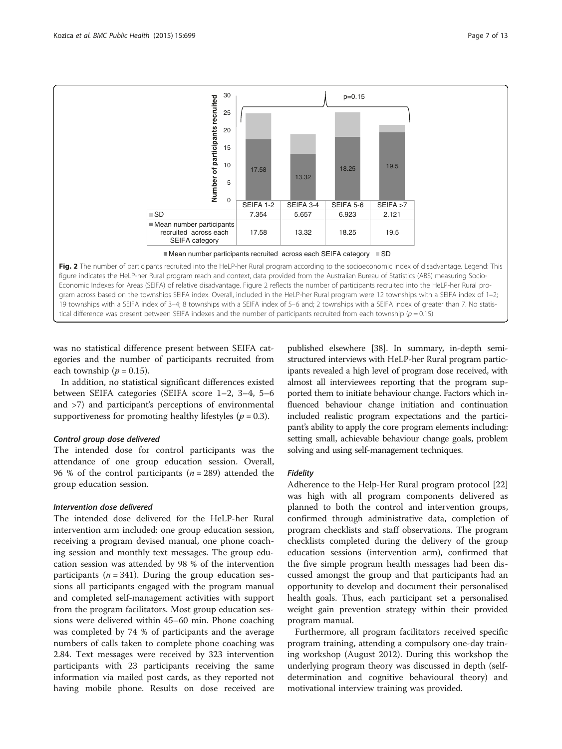<span id="page-6-0"></span>

tical difference was present between SEIFA indexes and the number of participants recruited from each township ( $p = 0.15$ )

was no statistical difference present between SEIFA categories and the number of participants recruited from each township ( $p = 0.15$ ).

In addition, no statistical significant differences existed between SEIFA categories (SEIFA score 1–2, 3–4, 5–6 and >7) and participant's perceptions of environmental supportiveness for promoting healthy lifestyles ( $p = 0.3$ ).

# Control group dose delivered

The intended dose for control participants was the attendance of one group education session. Overall, 96 % of the control participants ( $n = 289$ ) attended the group education session.

# Intervention dose delivered

The intended dose delivered for the HeLP-her Rural intervention arm included: one group education session, receiving a program devised manual, one phone coaching session and monthly text messages. The group education session was attended by 98 % of the intervention participants ( $n = 341$ ). During the group education sessions all participants engaged with the program manual and completed self-management activities with support from the program facilitators. Most group education sessions were delivered within 45–60 min. Phone coaching was completed by 74 % of participants and the average numbers of calls taken to complete phone coaching was 2.84. Text messages were received by 323 intervention participants with 23 participants receiving the same information via mailed post cards, as they reported not having mobile phone. Results on dose received are

published elsewhere [[38](#page-11-0)]. In summary, in-depth semistructured interviews with HeLP-her Rural program participants revealed a high level of program dose received, with almost all interviewees reporting that the program supported them to initiate behaviour change. Factors which influenced behaviour change initiation and continuation included realistic program expectations and the participant's ability to apply the core program elements including: setting small, achievable behaviour change goals, problem solving and using self-management techniques.

#### Fidelity

Adherence to the Help-Her Rural program protocol [[22](#page-11-0)] was high with all program components delivered as planned to both the control and intervention groups, confirmed through administrative data, completion of program checklists and staff observations. The program checklists completed during the delivery of the group education sessions (intervention arm), confirmed that the five simple program health messages had been discussed amongst the group and that participants had an opportunity to develop and document their personalised health goals. Thus, each participant set a personalised weight gain prevention strategy within their provided program manual.

Furthermore, all program facilitators received specific program training, attending a compulsory one-day training workshop (August 2012). During this workshop the underlying program theory was discussed in depth (selfdetermination and cognitive behavioural theory) and motivational interview training was provided.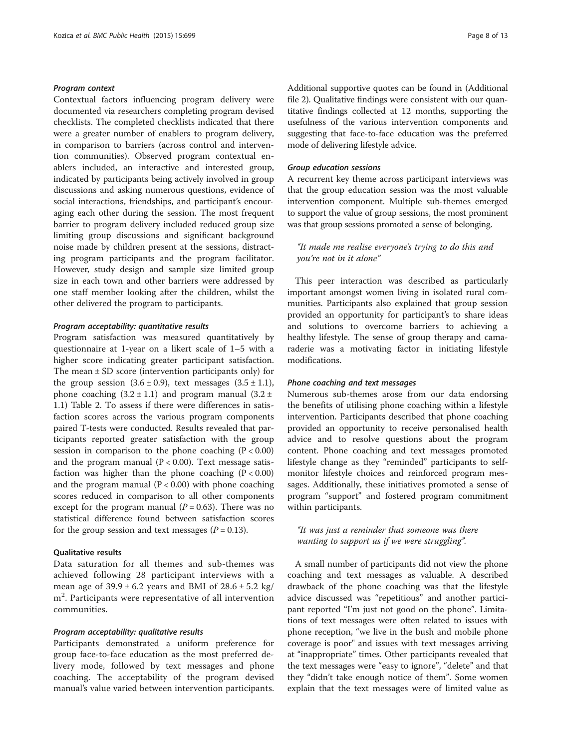#### Program context

Contextual factors influencing program delivery were documented via researchers completing program devised checklists. The completed checklists indicated that there were a greater number of enablers to program delivery, in comparison to barriers (across control and intervention communities). Observed program contextual enablers included, an interactive and interested group, indicated by participants being actively involved in group discussions and asking numerous questions, evidence of social interactions, friendships, and participant's encouraging each other during the session. The most frequent barrier to program delivery included reduced group size limiting group discussions and significant background noise made by children present at the sessions, distracting program participants and the program facilitator. However, study design and sample size limited group size in each town and other barriers were addressed by one staff member looking after the children, whilst the other delivered the program to participants.

#### Program acceptability: quantitative results

Program satisfaction was measured quantitatively by questionnaire at 1-year on a likert scale of 1–5 with a higher score indicating greater participant satisfaction. The mean  $\pm$  SD score (intervention participants only) for the group session  $(3.6 \pm 0.9)$ , text messages  $(3.5 \pm 1.1)$ , phone coaching  $(3.2 \pm 1.1)$  and program manual  $(3.2 \pm 1.1)$ 1.1) Table [2.](#page-4-0) To assess if there were differences in satisfaction scores across the various program components paired T-tests were conducted. Results revealed that participants reported greater satisfaction with the group session in comparison to the phone coaching  $(P < 0.00)$ and the program manual ( $P < 0.00$ ). Text message satisfaction was higher than the phone coaching  $(P < 0.00)$ and the program manual ( $P < 0.00$ ) with phone coaching scores reduced in comparison to all other components except for the program manual ( $P = 0.63$ ). There was no statistical difference found between satisfaction scores for the group session and text messages ( $P = 0.13$ ).

#### Qualitative results

Data saturation for all themes and sub-themes was achieved following 28 participant interviews with a mean age of  $39.9 \pm 6.2$  years and BMI of  $28.6 \pm 5.2$  kg/ m2 . Participants were representative of all intervention communities.

#### Program acceptability: qualitative results

Participants demonstrated a uniform preference for group face-to-face education as the most preferred delivery mode, followed by text messages and phone coaching. The acceptability of the program devised manual's value varied between intervention participants. Additional supportive quotes can be found in (Additional file [2](#page-10-0)). Qualitative findings were consistent with our quantitative findings collected at 12 months, supporting the usefulness of the various intervention components and suggesting that face-to-face education was the preferred mode of delivering lifestyle advice.

### Group education sessions

A recurrent key theme across participant interviews was that the group education session was the most valuable intervention component. Multiple sub-themes emerged to support the value of group sessions, the most prominent was that group sessions promoted a sense of belonging.

# "It made me realise everyone's trying to do this and you're not in it alone"

This peer interaction was described as particularly important amongst women living in isolated rural communities. Participants also explained that group session provided an opportunity for participant's to share ideas and solutions to overcome barriers to achieving a healthy lifestyle. The sense of group therapy and camaraderie was a motivating factor in initiating lifestyle modifications.

# Phone coaching and text messages

Numerous sub-themes arose from our data endorsing the benefits of utilising phone coaching within a lifestyle intervention. Participants described that phone coaching provided an opportunity to receive personalised health advice and to resolve questions about the program content. Phone coaching and text messages promoted lifestyle change as they "reminded" participants to selfmonitor lifestyle choices and reinforced program messages. Additionally, these initiatives promoted a sense of program "support" and fostered program commitment within participants.

"It was just a reminder that someone was there wanting to support us if we were struggling".

A small number of participants did not view the phone coaching and text messages as valuable. A described drawback of the phone coaching was that the lifestyle advice discussed was "repetitious" and another participant reported "I'm just not good on the phone". Limitations of text messages were often related to issues with phone reception, "we live in the bush and mobile phone coverage is poor" and issues with text messages arriving at "inappropriate" times. Other participants revealed that the text messages were "easy to ignore", "delete" and that they "didn't take enough notice of them". Some women explain that the text messages were of limited value as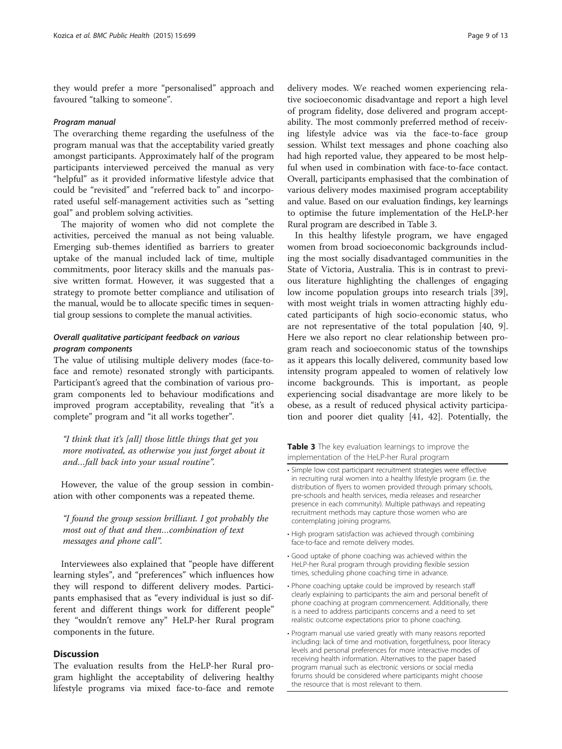<span id="page-8-0"></span>they would prefer a more "personalised" approach and favoured "talking to someone".

#### Program manual

The overarching theme regarding the usefulness of the program manual was that the acceptability varied greatly amongst participants. Approximately half of the program participants interviewed perceived the manual as very "helpful" as it provided informative lifestyle advice that could be "revisited" and "referred back to" and incorporated useful self-management activities such as "setting goal" and problem solving activities.

The majority of women who did not complete the activities, perceived the manual as not being valuable. Emerging sub-themes identified as barriers to greater uptake of the manual included lack of time, multiple commitments, poor literacy skills and the manuals passive written format. However, it was suggested that a strategy to promote better compliance and utilisation of the manual, would be to allocate specific times in sequential group sessions to complete the manual activities.

# Overall qualitative participant feedback on various program components

The value of utilising multiple delivery modes (face-toface and remote) resonated strongly with participants. Participant's agreed that the combination of various program components led to behaviour modifications and improved program acceptability, revealing that "it's a complete" program and "it all works together".

"I think that it's [all] those little things that get you more motivated, as otherwise you just forget about it and…fall back into your usual routine".

However, the value of the group session in combination with other components was a repeated theme.

"I found the group session brilliant. I got probably the most out of that and then…combination of text messages and phone call".

Interviewees also explained that "people have different learning styles", and "preferences" which influences how they will respond to different delivery modes. Participants emphasised that as "every individual is just so different and different things work for different people" they "wouldn't remove any" HeLP-her Rural program components in the future.

# **Discussion**

The evaluation results from the HeLP-her Rural program highlight the acceptability of delivering healthy lifestyle programs via mixed face-to-face and remote delivery modes. We reached women experiencing relative socioeconomic disadvantage and report a high level of program fidelity, dose delivered and program acceptability. The most commonly preferred method of receiving lifestyle advice was via the face-to-face group session. Whilst text messages and phone coaching also had high reported value, they appeared to be most helpful when used in combination with face-to-face contact. Overall, participants emphasised that the combination of various delivery modes maximised program acceptability and value. Based on our evaluation findings, key learnings to optimise the future implementation of the HeLP-her Rural program are described in Table 3.

In this healthy lifestyle program, we have engaged women from broad socioeconomic backgrounds including the most socially disadvantaged communities in the State of Victoria, Australia. This is in contrast to previous literature highlighting the challenges of engaging low income population groups into research trials [\[39](#page-11-0)], with most weight trials in women attracting highly educated participants of high socio-economic status, who are not representative of the total population [\[40, 9](#page-11-0)]. Here we also report no clear relationship between program reach and socioeconomic status of the townships as it appears this locally delivered, community based low intensity program appealed to women of relatively low income backgrounds. This is important, as people experiencing social disadvantage are more likely to be obese, as a result of reduced physical activity participation and poorer diet quality [[41, 42\]](#page-11-0). Potentially, the

Table 3 The key evaluation learnings to improve the implementation of the HeLP-her Rural program

- High program satisfaction was achieved through combining face-to-face and remote delivery modes.
- Good uptake of phone coaching was achieved within the HeLP-her Rural program through providing flexible session times, scheduling phone coaching time in advance.
- Phone coaching uptake could be improved by research staff clearly explaining to participants the aim and personal benefit of phone coaching at program commencement. Additionally, there is a need to address participants concerns and a need to set realistic outcome expectations prior to phone coaching.
- Program manual use varied greatly with many reasons reported including: lack of time and motivation, forgetfulness, poor literacy levels and personal preferences for more interactive modes of receiving health information. Alternatives to the paper based program manual such as electronic versions or social media forums should be considered where participants might choose the resource that is most relevant to them.

<sup>•</sup> Simple low cost participant recruitment strategies were effective in recruiting rural women into a healthy lifestyle program (i.e. the distribution of flyers to women provided through primary schools, pre-schools and health services, media releases and researcher presence in each community). Multiple pathways and repeating recruitment methods may capture those women who are contemplating joining programs.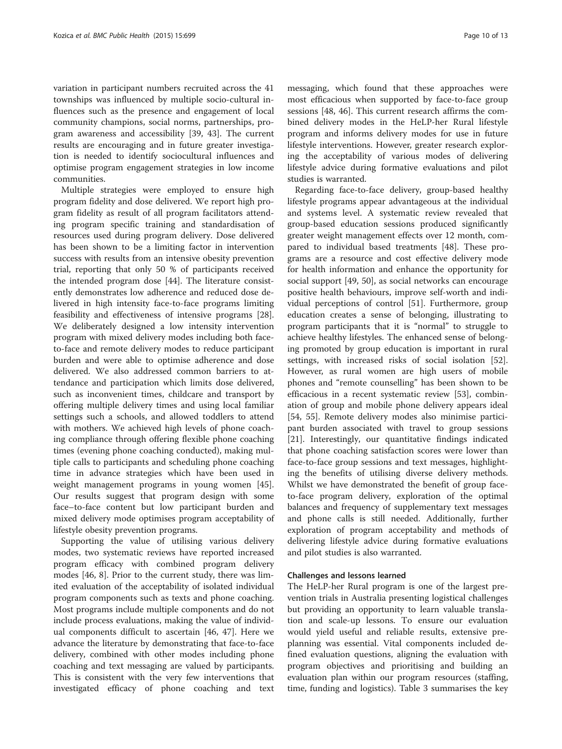variation in participant numbers recruited across the 41 townships was influenced by multiple socio-cultural influences such as the presence and engagement of local community champions, social norms, partnerships, program awareness and accessibility [\[39](#page-11-0), [43\]](#page-11-0). The current results are encouraging and in future greater investigation is needed to identify sociocultural influences and optimise program engagement strategies in low income communities.

Multiple strategies were employed to ensure high program fidelity and dose delivered. We report high program fidelity as result of all program facilitators attending program specific training and standardisation of resources used during program delivery. Dose delivered has been shown to be a limiting factor in intervention success with results from an intensive obesity prevention trial, reporting that only 50 % of participants received the intended program dose [\[44\]](#page-11-0). The literature consistently demonstrates low adherence and reduced dose delivered in high intensity face-to-face programs limiting feasibility and effectiveness of intensive programs [\[28](#page-11-0)]. We deliberately designed a low intensity intervention program with mixed delivery modes including both faceto-face and remote delivery modes to reduce participant burden and were able to optimise adherence and dose delivered. We also addressed common barriers to attendance and participation which limits dose delivered, such as inconvenient times, childcare and transport by offering multiple delivery times and using local familiar settings such a schools, and allowed toddlers to attend with mothers. We achieved high levels of phone coaching compliance through offering flexible phone coaching times (evening phone coaching conducted), making multiple calls to participants and scheduling phone coaching time in advance strategies which have been used in weight management programs in young women [\[45](#page-11-0)]. Our results suggest that program design with some face–to-face content but low participant burden and mixed delivery mode optimises program acceptability of lifestyle obesity prevention programs.

Supporting the value of utilising various delivery modes, two systematic reviews have reported increased program efficacy with combined program delivery modes [[46, 8\]](#page-11-0). Prior to the current study, there was limited evaluation of the acceptability of isolated individual program components such as texts and phone coaching. Most programs include multiple components and do not include process evaluations, making the value of individual components difficult to ascertain [[46](#page-11-0), [47\]](#page-11-0). Here we advance the literature by demonstrating that face-to-face delivery, combined with other modes including phone coaching and text messaging are valued by participants. This is consistent with the very few interventions that investigated efficacy of phone coaching and text

messaging, which found that these approaches were most efficacious when supported by face-to-face group sessions [[48, 46\]](#page-11-0). This current research affirms the combined delivery modes in the HeLP-her Rural lifestyle program and informs delivery modes for use in future lifestyle interventions. However, greater research exploring the acceptability of various modes of delivering lifestyle advice during formative evaluations and pilot studies is warranted.

Regarding face-to-face delivery, group-based healthy lifestyle programs appear advantageous at the individual and systems level. A systematic review revealed that group-based education sessions produced significantly greater weight management effects over 12 month, compared to individual based treatments [\[48](#page-11-0)]. These programs are a resource and cost effective delivery mode for health information and enhance the opportunity for social support [\[49](#page-11-0), [50](#page-11-0)], as social networks can encourage positive health behaviours, improve self-worth and individual perceptions of control [[51\]](#page-11-0). Furthermore, group education creates a sense of belonging, illustrating to program participants that it is "normal" to struggle to achieve healthy lifestyles. The enhanced sense of belonging promoted by group education is important in rural settings, with increased risks of social isolation [\[52](#page-11-0)]. However, as rural women are high users of mobile phones and "remote counselling" has been shown to be efficacious in a recent systematic review [[53](#page-11-0)], combination of group and mobile phone delivery appears ideal [[54, 55](#page-12-0)]. Remote delivery modes also minimise participant burden associated with travel to group sessions [[21\]](#page-11-0). Interestingly, our quantitative findings indicated that phone coaching satisfaction scores were lower than face-to-face group sessions and text messages, highlighting the benefits of utilising diverse delivery methods. Whilst we have demonstrated the benefit of group faceto-face program delivery, exploration of the optimal balances and frequency of supplementary text messages and phone calls is still needed. Additionally, further exploration of program acceptability and methods of delivering lifestyle advice during formative evaluations and pilot studies is also warranted.

#### Challenges and lessons learned

The HeLP-her Rural program is one of the largest prevention trials in Australia presenting logistical challenges but providing an opportunity to learn valuable translation and scale-up lessons. To ensure our evaluation would yield useful and reliable results, extensive preplanning was essential. Vital components included defined evaluation questions, aligning the evaluation with program objectives and prioritising and building an evaluation plan within our program resources (staffing, time, funding and logistics). Table [3](#page-8-0) summarises the key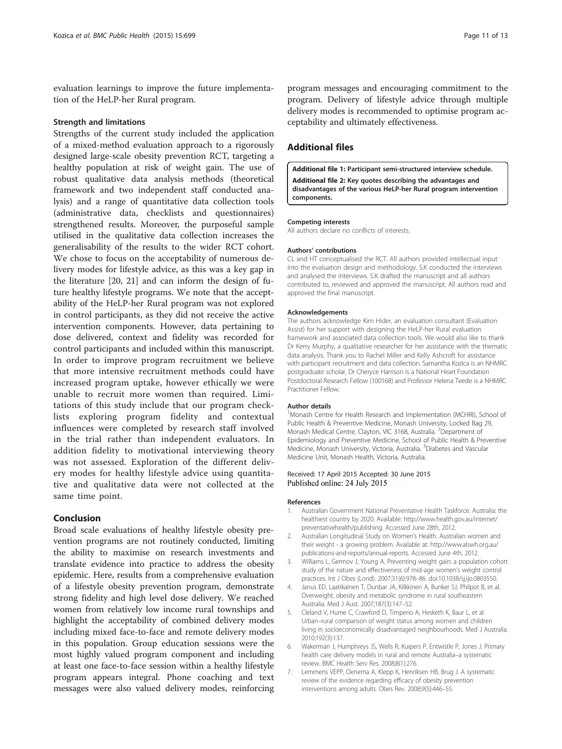<span id="page-10-0"></span>evaluation learnings to improve the future implementation of the HeLP-her Rural program.

# Strength and limitations

Strengths of the current study included the application of a mixed-method evaluation approach to a rigorously designed large-scale obesity prevention RCT, targeting a healthy population at risk of weight gain. The use of robust qualitative data analysis methods (theoretical framework and two independent staff conducted analysis) and a range of quantitative data collection tools (administrative data, checklists and questionnaires) strengthened results. Moreover, the purposeful sample utilised in the qualitative data collection increases the generalisability of the results to the wider RCT cohort. We chose to focus on the acceptability of numerous delivery modes for lifestyle advice, as this was a key gap in the literature [\[20, 21\]](#page-11-0) and can inform the design of future healthy lifestyle programs. We note that the acceptability of the HeLP-her Rural program was not explored in control participants, as they did not receive the active intervention components. However, data pertaining to dose delivered, context and fidelity was recorded for control participants and included within this manuscript. In order to improve program recruitment we believe that more intensive recruitment methods could have increased program uptake, however ethically we were unable to recruit more women than required. Limitations of this study include that our program checklists exploring program fidelity and contextual influences were completed by research staff involved in the trial rather than independent evaluators. In addition fidelity to motivational interviewing theory was not assessed. Exploration of the different delivery modes for healthy lifestyle advice using quantitative and qualitative data were not collected at the same time point.

# Conclusion

Broad scale evaluations of healthy lifestyle obesity prevention programs are not routinely conducted, limiting the ability to maximise on research investments and translate evidence into practice to address the obesity epidemic. Here, results from a comprehensive evaluation of a lifestyle obesity prevention program, demonstrate strong fidelity and high level dose delivery. We reached women from relatively low income rural townships and highlight the acceptability of combined delivery modes including mixed face-to-face and remote delivery modes in this population. Group education sessions were the most highly valued program component and including at least one face-to-face session within a healthy lifestyle program appears integral. Phone coaching and text messages were also valued delivery modes, reinforcing program messages and encouraging commitment to the program. Delivery of lifestyle advice through multiple delivery modes is recommended to optimise program acceptability and ultimately effectiveness.

# Additional files

[Additional file 1:](http://www.biomedcentral.com/content/supplementary/s12889-015-1995-8-s1.docx) Participant semi-structured interview schedule. [Additional file 2:](http://www.biomedcentral.com/content/supplementary/s12889-015-1995-8-s2.docx) Key quotes describing the advantages and disadvantages of the various HeLP-her Rural program intervention components.

#### Competing interests

All authors declare no conflicts of interests.

#### Authors' contributions

CL and HT conceptualised the RCT. All authors provided intellectual input into the evaluation design and methodology. S.K conducted the interviews and analysed the interviews. S.K drafted the manuscript and all authors contributed to, reviewed and approved the manuscript. All authors read and approved the final manuscript.

#### Acknowledgements

The authors acknowledge Kim Hider, an evaluation consultant (Evaluation Assist) for her support with designing the HeLP-her Rural evaluation framework and associated data collection tools. We would also like to thank Dr Kerry Murphy, a qualitative researcher for her assistance with the thematic data analysis. Thank you to Rachel Miller and Kelly Ashcroft for assistance with participant recruitment and data collection. Samantha Kozica is an NHMRC postgraduate scholar, Dr Cheryce Harrison is a National Heart Foundation Postdoctoral Research Fellow (100168) and Professor Helena Teede is a NHMRC Practitioner Fellow.

#### Author details

<sup>1</sup>Monash Centre for Health Research and Implementation (MCHRI), School of Public Health & Preventive Medicine, Monash University, Locked Bag 29, Monash Medical Centre, Clayton, VIC 3168, Australia. <sup>2</sup>Department of Epidemiology and Preventive Medicine, School of Public Health & Preventive Medicine, Monash University, Victoria, Australia. <sup>3</sup>Diabetes and Vascular Medicine Unit, Monash Health, Victoria, Australia.

#### Received: 17 April 2015 Accepted: 30 June 2015 Published online: 24 July 2015

#### References

- 1. Australian Government National Preventative Health Taskforce. Australia: the healthiest country by 2020. Available: [http://www.health.gov.au/internet/](http://www.health.gov.au/internet/preventativehealth/publishing) [preventativehealth/publishing](http://www.health.gov.au/internet/preventativehealth/publishing). Accessed June 28th, 2012.
- 2. Australian Longitudinal Study on Women's Health. Australian women and their weight - a growing problem. Available at: [http://www.alswh.org.au/](http://www.alswh.org.au/publications-and-reports/annual-reports) [publications-and-reports/annual-reports.](http://www.alswh.org.au/publications-and-reports/annual-reports) Accessed June 4th, 2012.
- 3. Williams L, Germov J, Young A. Preventing weight gain: a population cohort study of the nature and effectiveness of mid-age women's weight control practices. Int J Obes (Lond). 2007;31(6):978–86. doi:[10.1038/sj.ijo.0803550](http://dx.doi.org/10.1038/sj.ijo.0803550).
- 4. Janus ED, Laatikainen T, Dunbar JA, Kilkkinen A, Bunker SJ, Philpot B, et al. Overweight, obesity and metabolic syndrome in rural southeastern Australia. Med J Aust. 2007;187(3):147–52.
- 5. Cleland V, Hume C, Crawford D, Timperio A, Hesketh K, Baur L, et al. Urban–rural comparison of weight status among women and children living in socioeconomically disadvantaged neighbourhoods. Med J Australia. 2010;192(3):137.
- 6. Wakerman J, Humphreys JS, Wells R, Kuipers P, Entwistle P, Jones J. Primary health care delivery models in rural and remote Australia–a systematic review. BMC Health Serv Res. 2008;8(1):276.
- 7. Lemmens VEPP, Oenema A, Klepp K, Henriksen HB, Brug J. A systematic review of the evidence regarding efficacy of obesity prevention interventions among adults. Obes Rev. 2008;9(5):446–55.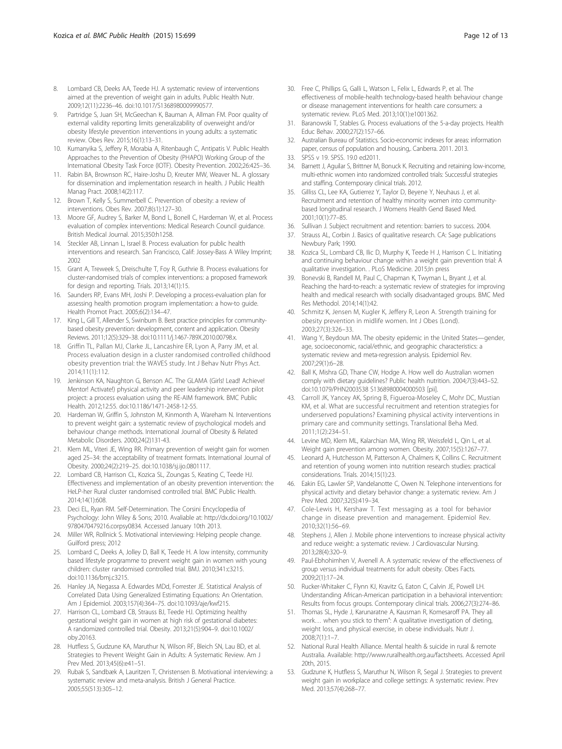- <span id="page-11-0"></span>8. Lombard CB, Deeks AA, Teede HJ. A systematic review of interventions aimed at the prevention of weight gain in adults. Public Health Nutr. 2009;12(11):2236–46. doi:[10.1017/S1368980009990577.](http://dx.doi.org/10.1017/S1368980009990577)
- Partridge S, Juan SH, McGeechan K, Bauman A, Allman FM. Poor quality of external validity reporting limits generalizability of overweight and/or obesity lifestyle prevention interventions in young adults: a systematic review. Obes Rev. 2015;16(1):13–31.
- 10. Kumanyika S, Jeffery R, Morabia A, Ritenbaugh C, Antipatis V. Public Health Approaches to the Prevention of Obesity (PHAPO) Working Group of the International Obesity Task Force (IOTF). Obesity Prevention. 2002;26:425–36.
- 11. Rabin BA, Brownson RC, Haire-Joshu D, Kreuter MW, Weaver NL. A glossary for dissemination and implementation research in health. J Public Health Manag Pract. 2008;14(2):117.
- 12. Brown T, Kelly S, Summerbell C. Prevention of obesity: a review of interventions. Obes Rev. 2007;8(s1):127–30.
- 13. Moore GF, Audrey S, Barker M, Bond L, Bonell C, Hardeman W, et al. Process evaluation of complex interventions: Medical Research Council guidance. British Medical Journal. 2015;350:h1258.
- 14. Steckler AB, Linnan L, Israel B. Process evaluation for public health interventions and research. San Francisco, Calif: Jossey-Bass A Wiley Imprint; 2002
- 15. Grant A, Treweek S, Dreischulte T, Foy R, Guthrie B. Process evaluations for cluster-randomised trials of complex interventions: a proposed framework for design and reporting. Trials. 2013;14(1):15.
- 16. Saunders RP, Evans MH, Joshi P. Developing a process-evaluation plan for assessing health promotion program implementation: a how-to guide. Health Promot Pract. 2005;6(2):134–47.
- 17. King L, Gill T, Allender S, Swinburn B. Best practice principles for communitybased obesity prevention: development, content and application. Obesity Reviews. 2011;12(5):329–38. doi:[10.1111/j.1467-789X.2010.00798.x.](http://dx.doi.org/10.1111/j.1467-789X.2010.00798.x)
- 18. Griffin TL, Pallan MJ, Clarke JL, Lancashire ER, Lyon A, Parry JM, et al. Process evaluation design in a cluster randomised controlled childhood obesity prevention trial: the WAVES study. Int J Behav Nutr Phys Act. 2014;11(1):112.
- 19. Jenkinson KA, Naughton G, Benson AC. The GLAMA (Girls! Lead! Achieve! Mentor! Activate!) physical activity and peer leadership intervention pilot project: a process evaluation using the RE-AIM framework. BMC Public Health. 2012;12:55. doi:[10.1186/1471-2458-12-55](http://dx.doi.org/10.1186/1471-2458-12-55).
- 20. Hardeman W, Griffin S, Johnston M, Kinmonth A, Wareham N. Interventions to prevent weight gain: a systematic review of psychological models and behaviour change methods. International Journal of Obesity & Related Metabolic Disorders. 2000;24(2)131-43.
- 21. Klem ML, Viteri JE, Wing RR. Primary prevention of weight gain for women aged 25–34: the acceptability of treatment formats. International Journal of Obesity. 2000;24(2):219–25. doi:[10.1038/sj.ijo.0801117.](http://dx.doi.org/10.1038/sj.ijo.0801117)
- 22. Lombard CB, Harrison CL, Kozica SL, Zoungas S, Keating C, Teede HJ. Effectiveness and implementation of an obesity prevention intervention: the HeLP-her Rural cluster randomised controlled trial. BMC Public Health. 2014;14(1):608.
- 23. Deci EL, Ryan RM. Self-Determination. The Corsini Encyclopedia of Psychology: John Wiley & Sons; 2010. Avaliable at: [http://dx.doi.org/10.1002/](http://dx.doi.org/10.1002/9780470479216.corpsy0834) [9780470479216.corpsy0834](http://dx.doi.org/10.1002/9780470479216.corpsy0834). Accessed January 10th 2013.
- 24. Miller WR, Rollnick S. Motivational interviewing: Helping people change. Guilford press; 2012
- 25. Lombard C, Deeks A, Jolley D, Ball K, Teede H. A low intensity, community based lifestyle programme to prevent weight gain in women with young children: cluster randomised controlled trial. BMJ. 2010;341:c3215. doi[:10.1136/bmj.c3215](http://dx.doi.org/10.1136/bmj.c3215).
- 26. Hanley JA, Negassa A. Edwardes MDd, Forrester JE. Statistical Analysis of Correlated Data Using Generalized Estimating Equations: An Orientation. Am J Epidemiol. 2003;157(4):364–75. doi:[10.1093/aje/kwf215.](http://dx.doi.org/10.1093/aje/kwf215)
- 27. Harrison CL, Lombard CB, Strauss BJ, Teede HJ. Optimizing healthy gestational weight gain in women at high risk of gestational diabetes: A randomized controlled trial. Obesity. 2013;21(5):904–9. doi[:10.1002/](http://dx.doi.org/10.1002/oby.20163) [oby.20163.](http://dx.doi.org/10.1002/oby.20163)
- 28. Hutfless S, Gudzune KA, Maruthur N, Wilson RF, Bleich SN, Lau BD, et al. Strategies to Prevent Weight Gain in Adults: A Systematic Review. Am J Prev Med. 2013;45(6):e41–51.
- 29. Rubak S, Sandbæk A, Lauritzen T, Christensen B. Motivational interviewing: a systematic review and meta-analysis. British J General Practice. 2005;55(513):305–12.
- 30. Free C, Phillips G, Galli L, Watson L, Felix L, Edwards P, et al. The effectiveness of mobile-health technology-based health behaviour change or disease management interventions for health care consumers: a systematic review. PLoS Med. 2013;10(1):e1001362.
- 31. Baranowski T, Stables G. Process evaluations of the 5-a-day projects. Health Educ Behav. 2000;27(2):157–66.
- 32. Australian Bureau of Statistics. Socio-economic indexes for areas: information paper, census of population and housing,. Canberra. 2011. 2013.
- 33. SPSS v 19. SPSS. 19.0 ed2011.
- 34. Barnett J, Aguilar S, Brittner M, Bonuck K. Recruiting and retaining low-income, multi-ethnic women into randomized controlled trials: Successful strategies and staffing. Contemporary clinical trials. 2012.
- 35. Gilliss CL, Lee KA, Gutierrez Y, Taylor D, Beyene Y, Neuhaus J, et al. Recruitment and retention of healthy minority women into communitybased longitudinal research. J Womens Health Gend Based Med. 2001;10(1):77–85.
- 36. Sullivan J. Subject recruitment and retention: barriers to success. 2004.
- 37. Strauss AL, Corbin J. Basics of qualitative research. CA: Sage publications Newbury Park; 1990.
- 38. Kozica SL, Lombard CB, Ilic D, Murphy K, Teede H J, Harrison C L. Initiating and continuing behaviour change within a weight gain prevention trial: A qualitative investigation. . PLoS Medicine. 2015;In press
- 39. Bonevski B, Randell M, Paul C, Chapman K, Twyman L, Bryant J, et al. Reaching the hard-to-reach: a systematic review of strategies for improving health and medical research with socially disadvantaged groups. BMC Med Res Methodol. 2014;14(1):42.
- 40. Schmitz K, Jensen M, Kugler K, Jeffery R, Leon A. Strength training for obesity prevention in midlife women. Int J Obes (Lond). 2003;27(3):326–33.
- 41. Wang Y, Beydoun MA. The obesity epidemic in the United States—gender, age, socioeconomic, racial/ethnic, and geographic characteristics: a systematic review and meta-regression analysis. Epidemiol Rev. 2007;29(1):6–28.
- 42. Ball K, Mishra GD, Thane CW, Hodge A. How well do Australian women comply with dietary guidelines? Public health nutrition. 2004;7(3):443–52. doi[:10.1079/PHN2003538 S1368980004000503 \[pii\]](http://dx.doi.org/10.1079/PHN2003538%20S1368980004000503%20%5Bpii%5D).
- 43. Carroll JK, Yancey AK, Spring B, Figueroa-Moseley C, Mohr DC, Mustian KM, et al. What are successful recruitment and retention strategies for underserved populations? Examining physical activity interventions in primary care and community settings. Translational Beha Med. 2011;1(2):234–51.
- 44. Levine MD, Klem ML, Kalarchian MA, Wing RR, Weissfeld L, Qin L, et al. Weight gain prevention among women. Obesity. 2007;15(5):1267–77.
- 45. Leonard A, Hutchesson M, Patterson A, Chalmers K, Collins C. Recruitment and retention of young women into nutrition research studies: practical considerations. Trials. 2014;15(1):23.
- 46. Eakin EG, Lawler SP, Vandelanotte C, Owen N. Telephone interventions for physical activity and dietary behavior change: a systematic review. Am J Prev Med. 2007;32(5):419–34.
- 47. Cole-Lewis H, Kershaw T. Text messaging as a tool for behavior change in disease prevention and management. Epidemiol Rev. 2010;32(1):56–69.
- 48. Stephens J, Allen J. Mobile phone interventions to increase physical activity and reduce weight: a systematic review. J Cardiovascular Nursing. 2013;28(4):320–9.
- 49. Paul-Ebhohimhen V, Avenell A. A systematic review of the effectiveness of group versus individual treatments for adult obesity. Obes Facts. 2009;2(1):17–24.
- 50. Rucker-Whitaker C, Flynn KJ, Kravitz G, Eaton C, Calvin JE, Powell LH. Understanding African-American participation in a behavioral intervention: Results from focus groups. Contemporary clinical trials. 2006;27(3):274–86.
- 51. Thomas SL, Hyde J, Karunaratne A, Kausman R, Komesaroff PA. They all work… when you stick to them": A qualitative investigation of dieting, weight loss, and physical exercise, in obese individuals. Nutr J. 2008;7(1):1–7.
- 52. National Rural Health Alliance. Mental health & suicide in rural & remote Australia. Available:<http://www.ruralhealth.org.au/factsheets>. Accessed April 20th, 2015.
- 53. Gudzune K, Hutfless S, Maruthur N, Wilson R, Segal J. Strategies to prevent weight gain in workplace and college settings: A systematic review. Prev Med. 2013;57(4):268–77.